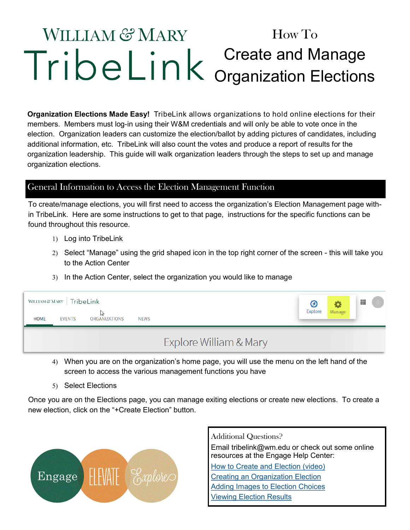# **WILLIAM & MARY** How To Create and Manage Organization Elections

**Organization Elections Made Easy!** TribeLink allows organizations to hold online elections for their members. Members must log-in using their W&M credentials and will only be able to vote once in the election. Organization leaders can customize the election/ballot by adding pictures of candidates, including additional information, etc. TribeLink will also count the votes and produce a report of results for the organization leadership. This guide will walk organization leaders through the steps to set up and manage organization elections.

## General Information to Access the Election Management Function

To create/manage elections, you will first need to access the organization's Election Management page within TribeLink. Here are some instructions to get to that page, instructions for the specific functions can be found throughout this resource.

- 1) Log into TribeLink
- Select "Manage" using the grid shaped icon in the top right corner of the screen this will take you to the Action Center
- In the Action Center, select the organization you would like to manage

| WILLIAM & MARY   TribeLink |               |               |             |                        |                |        | 靈 |
|----------------------------|---------------|---------------|-------------|------------------------|----------------|--------|---|
| <b>HOME</b>                | <b>EVENTS</b> | ORGANIZATIONS | <b>NEWS</b> |                        | <b>Explore</b> | Manage |   |
|                            |               |               |             | Explore William & Mary |                |        |   |

- When you are on the organization's home page, you will use the menu on the left hand of the screen to access the various management functions you have
- 5) Select Elections

Once you are on the Elections page, you can manage exiting elections or create new elections. To create a new election, click on the "+Create Election" button.



Additional Questions? Email tribelink@wm.edu or check out some online resources at the Engage Help Center: [How to Create and Election \(video\)](https://engagesupport.campuslabs.com/hc/en-us/articles/115002593846-Campus-Labs-CollegiateLink-How-to-Create-an-Election-) [Creating an Organization Election](https://engagesupport.campuslabs.com/hc/en-us/articles/204033084-Creating-an-Organization-Election) [Adding Images to Election Choices](https://engagesupport.campuslabs.com/hc/en-us/articles/204033114-Adding-Images-to-Election-Choices) [Viewing Election Results](https://engagesupport.campuslabs.com/hc/en-us/articles/204033074-Viewing-Election-Results)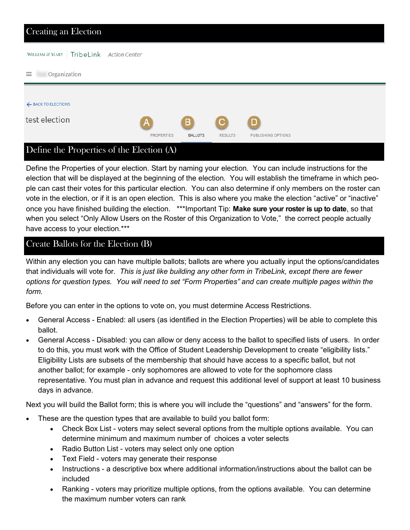| Creating an Election                      |                   |                |                |                           |  |
|-------------------------------------------|-------------------|----------------|----------------|---------------------------|--|
| WILLIAM & MARY   TribeLink Action Center  |                   |                |                |                           |  |
| $\equiv$<br>Organization                  |                   |                |                |                           |  |
|                                           |                   |                |                |                           |  |
| ← BACK TO ELECTIONS                       |                   |                |                |                           |  |
| test election                             | A                 | B              | С              | D                         |  |
|                                           | <b>PROPERTIES</b> | <b>BALLOTS</b> | <b>RESULTS</b> | <b>PUBLISHING OPTIONS</b> |  |
| Define the Properties of the Election (A) |                   |                |                |                           |  |

## Define the Properties of your election. Start by naming your election. You can include instructions for the election that will be displayed at the beginning of the election. You will establish the timeframe in which people can cast their votes for this particular election. You can also determine if only members on the roster can vote in the election, or if it is an open election. This is also where you make the election "active" or "inactive" once you have finished building the election. \*\*\*Important Tip: **Make sure your roster is up to date**, so that when you select "Only Allow Users on the Roster of this Organization to Vote," the correct people actually

# have access to your election.\*\*\*

#### Create Ballots for the Election (B)

Within any election you can have multiple ballots; ballots are where you actually input the options/candidates that individuals will vote for. *This is just like building any other form in TribeLink, except there are fewer options for question types. You will need to set "Form Properties" and can create multiple pages within the form.* 

Before you can enter in the options to vote on, you must determine Access Restrictions.

- General Access Enabled: all users (as identified in the Election Properties) will be able to complete this ballot.
- General Access Disabled: you can allow or deny access to the ballot to specified lists of users. In order to do this, you must work with the Office of Student Leadership Development to create "eligibility lists." Eligibility Lists are subsets of the membership that should have access to a specific ballot, but not another ballot; for example - only sophomores are allowed to vote for the sophomore class representative. You must plan in advance and request this additional level of support at least 10 business days in advance.

Next you will build the Ballot form; this is where you will include the "questions" and "answers" for the form.

- These are the question types that are available to build you ballot form:
	- Check Box List voters may select several options from the multiple options available. You can determine minimum and maximum number of choices a voter selects
	- Radio Button List voters may select only one option
	- Text Field voters may generate their response
	- Instructions a descriptive box where additional information/instructions about the ballot can be included
	- Ranking voters may prioritize multiple options, from the options available. You can determine the maximum number voters can rank